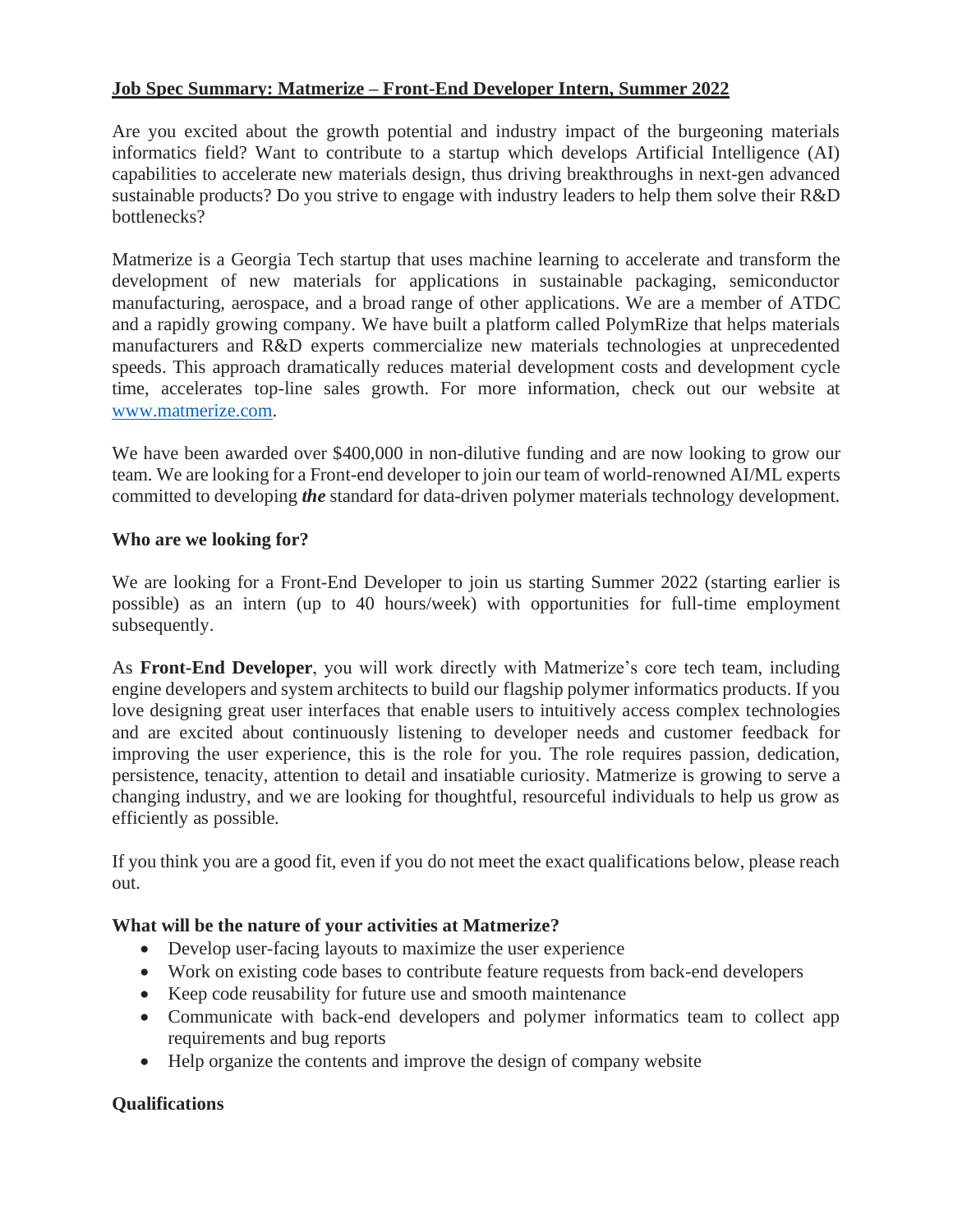## **Job Spec Summary: Matmerize – Front-End Developer Intern, Summer 2022**

Are you excited about the growth potential and industry impact of the burgeoning materials informatics field? Want to contribute to a startup which develops Artificial Intelligence (AI) capabilities to accelerate new materials design, thus driving breakthroughs in next-gen advanced sustainable products? Do you strive to engage with industry leaders to help them solve their R&D bottlenecks?

Matmerize is a Georgia Tech startup that uses machine learning to accelerate and transform the development of new materials for applications in sustainable packaging, semiconductor manufacturing, aerospace, and a broad range of other applications. We are a member of ATDC and a rapidly growing company. We have built a platform called PolymRize that helps materials manufacturers and R&D experts commercialize new materials technologies at unprecedented speeds. This approach dramatically reduces material development costs and development cycle time, accelerates top-line sales growth. For more information, check out our website at [www.matmerize.com.](http://www.matmerize.com/)

We have been awarded over \$400,000 in non-dilutive funding and are now looking to grow our team. We are looking for a Front-end developer to join our team of world-renowned AI/ML experts committed to developing *the* standard for data-driven polymer materials technology development.

## **Who are we looking for?**

We are looking for a Front-End Developer to join us starting Summer 2022 (starting earlier is possible) as an intern (up to 40 hours/week) with opportunities for full-time employment subsequently.

As **Front-End Developer**, you will work directly with Matmerize's core tech team, including engine developers and system architects to build our flagship polymer informatics products. If you love designing great user interfaces that enable users to intuitively access complex technologies and are excited about continuously listening to developer needs and customer feedback for improving the user experience, this is the role for you. The role requires passion, dedication, persistence, tenacity, attention to detail and insatiable curiosity. Matmerize is growing to serve a changing industry, and we are looking for thoughtful, resourceful individuals to help us grow as efficiently as possible.

If you think you are a good fit, even if you do not meet the exact qualifications below, please reach out.

## **What will be the nature of your activities at Matmerize?**

- Develop user-facing layouts to maximize the user experience
- Work on existing code bases to contribute feature requests from back-end developers
- Keep code reusability for future use and smooth maintenance
- Communicate with back-end developers and polymer informatics team to collect app requirements and bug reports
- Help organize the contents and improve the design of company website

## **Qualifications**